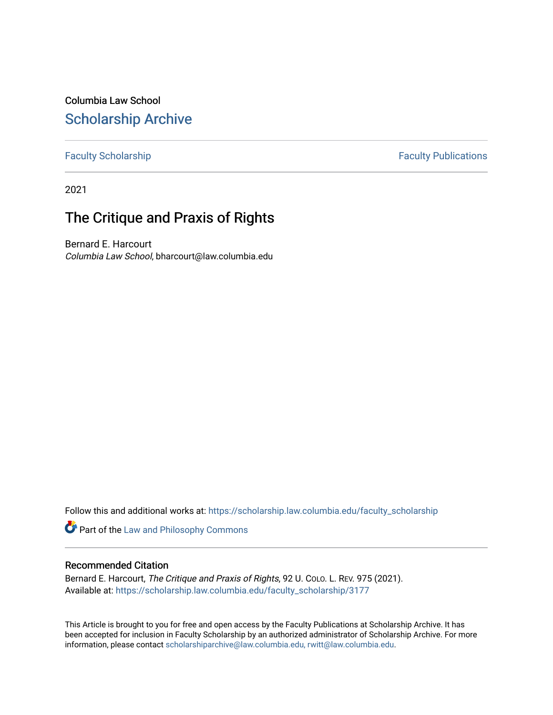Columbia Law School [Scholarship Archive](https://scholarship.law.columbia.edu/) 

[Faculty Scholarship](https://scholarship.law.columbia.edu/faculty_scholarship) **Faculty Publications** 

2021

## The Critique and Praxis of Rights

Bernard E. Harcourt Columbia Law School, bharcourt@law.columbia.edu

Follow this and additional works at: [https://scholarship.law.columbia.edu/faculty\\_scholarship](https://scholarship.law.columbia.edu/faculty_scholarship?utm_source=scholarship.law.columbia.edu%2Ffaculty_scholarship%2F3177&utm_medium=PDF&utm_campaign=PDFCoverPages)

Part of the [Law and Philosophy Commons](http://network.bepress.com/hgg/discipline/1299?utm_source=scholarship.law.columbia.edu%2Ffaculty_scholarship%2F3177&utm_medium=PDF&utm_campaign=PDFCoverPages) 

## Recommended Citation

Bernard E. Harcourt, The Critique and Praxis of Rights, 92 U. Colo. L. REV. 975 (2021). Available at: [https://scholarship.law.columbia.edu/faculty\\_scholarship/3177](https://scholarship.law.columbia.edu/faculty_scholarship/3177?utm_source=scholarship.law.columbia.edu%2Ffaculty_scholarship%2F3177&utm_medium=PDF&utm_campaign=PDFCoverPages)

This Article is brought to you for free and open access by the Faculty Publications at Scholarship Archive. It has been accepted for inclusion in Faculty Scholarship by an authorized administrator of Scholarship Archive. For more information, please contact [scholarshiparchive@law.columbia.edu, rwitt@law.columbia.edu](mailto:scholarshiparchive@law.columbia.edu,%20rwitt@law.columbia.edu).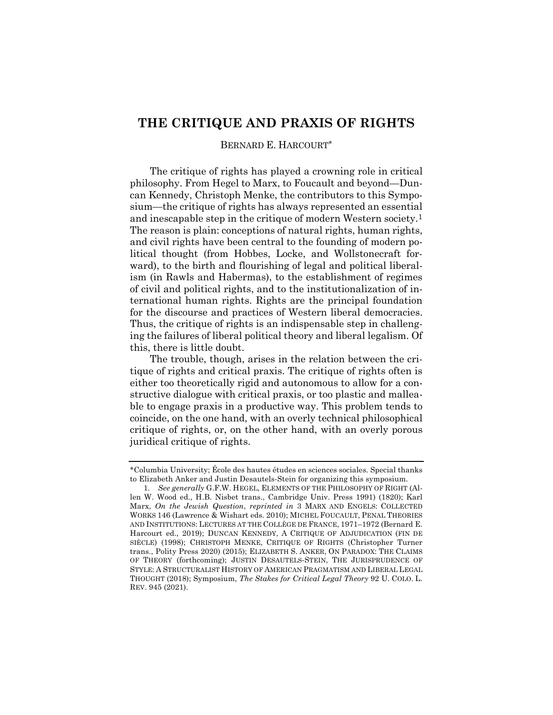## **THE CRITIQUE AND PRAXIS OF RIGHTS**

## BERNARD E. HARCOURT\*

The critique of rights has played a crowning role in critical philosophy. From Hegel to Marx, to Foucault and beyond—Duncan Kennedy, Christoph Menke, the contributors to this Symposium—the critique of rights has always represented an essential and inescapable step in the critique of modern Western society.1 The reason is plain: conceptions of natural rights, human rights, and civil rights have been central to the founding of modern political thought (from Hobbes, Locke, and Wollstonecraft forward), to the birth and flourishing of legal and political liberalism (in Rawls and Habermas), to the establishment of regimes of civil and political rights, and to the institutionalization of international human rights. Rights are the principal foundation for the discourse and practices of Western liberal democracies. Thus, the critique of rights is an indispensable step in challenging the failures of liberal political theory and liberal legalism. Of this, there is little doubt.

The trouble, though, arises in the relation between the critique of rights and critical praxis. The critique of rights often is either too theoretically rigid and autonomous to allow for a constructive dialogue with critical praxis, or too plastic and malleable to engage praxis in a productive way. This problem tends to coincide, on the one hand, with an overly technical philosophical critique of rights, or, on the other hand, with an overly porous juridical critique of rights.

<sup>\*</sup>Columbia University; École des hautes études en sciences sociales. Special thanks to Elizabeth Anker and Justin Desautels-Stein for organizing this symposium.

<sup>1</sup>*. See generally* G.F.W. HEGEL, ELEMENTS OF THE PHILOSOPHY OF RIGHT (Allen W. Wood ed., H.B. Nisbet trans., Cambridge Univ. Press 1991) (1820); Karl Marx, *On the Jewish Question*, *reprinted in* 3 MARX AND ENGELS: COLLECTED WORKS 146 (Lawrence & Wishart eds. 2010); MICHEL FOUCAULT, PENAL THEORIES AND INSTITUTIONS: LECTURES AT THE COLLÈGE DE FRANCE, 1971–1972 (Bernard E. Harcourt ed., 2019); DUNCAN KENNEDY, A CRITIQUE OF ADJUDICATION (FIN DE SIÈCLE) (1998); CHRISTOPH MENKE, CRITIQUE OF RIGHTS (Christopher Turner trans., Polity Press 2020) (2015); ELIZABETH S. ANKER, ON PARADOX: THE CLAIMS OF THEORY (forthcoming); JUSTIN DESAUTELS-STEIN, THE JURISPRUDENCE OF STYLE: A STRUCTURALIST HISTORY OF AMERICAN PRAGMATISM AND LIBERAL LEGAL THOUGHT (2018); Symposium, *The Stakes for Critical Legal Theory* 92 U. COLO. L. REV. 945 (2021).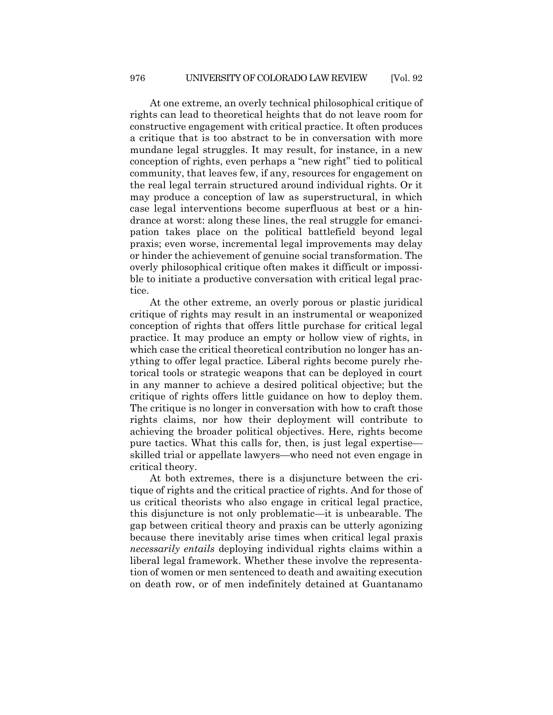At one extreme, an overly technical philosophical critique of rights can lead to theoretical heights that do not leave room for constructive engagement with critical practice. It often produces a critique that is too abstract to be in conversation with more mundane legal struggles. It may result, for instance, in a new conception of rights, even perhaps a "new right" tied to political community, that leaves few, if any, resources for engagement on the real legal terrain structured around individual rights. Or it may produce a conception of law as superstructural, in which case legal interventions become superfluous at best or a hindrance at worst: along these lines, the real struggle for emancipation takes place on the political battlefield beyond legal praxis; even worse, incremental legal improvements may delay or hinder the achievement of genuine social transformation. The overly philosophical critique often makes it difficult or impossible to initiate a productive conversation with critical legal practice.

At the other extreme, an overly porous or plastic juridical critique of rights may result in an instrumental or weaponized conception of rights that offers little purchase for critical legal practice. It may produce an empty or hollow view of rights, in which case the critical theoretical contribution no longer has anything to offer legal practice. Liberal rights become purely rhetorical tools or strategic weapons that can be deployed in court in any manner to achieve a desired political objective; but the critique of rights offers little guidance on how to deploy them. The critique is no longer in conversation with how to craft those rights claims, nor how their deployment will contribute to achieving the broader political objectives. Here, rights become pure tactics. What this calls for, then, is just legal expertise skilled trial or appellate lawyers—who need not even engage in critical theory.

At both extremes, there is a disjuncture between the critique of rights and the critical practice of rights. And for those of us critical theorists who also engage in critical legal practice, this disjuncture is not only problematic—it is unbearable. The gap between critical theory and praxis can be utterly agonizing because there inevitably arise times when critical legal praxis *necessarily entails* deploying individual rights claims within a liberal legal framework. Whether these involve the representation of women or men sentenced to death and awaiting execution on death row, or of men indefinitely detained at Guantanamo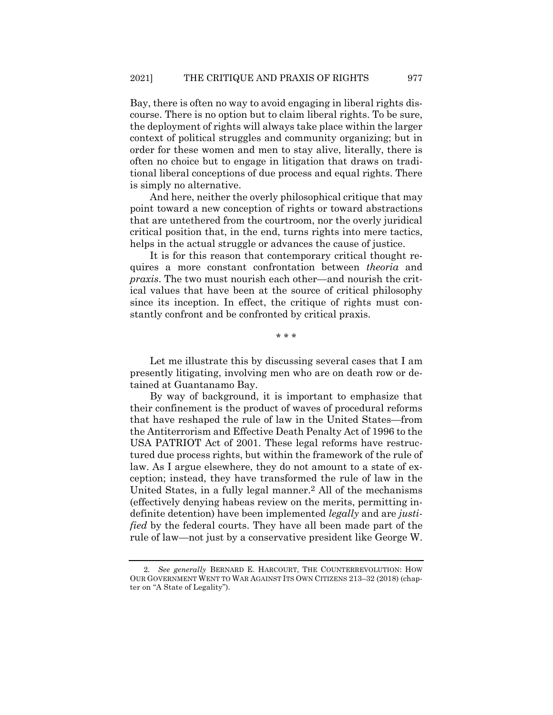Bay, there is often no way to avoid engaging in liberal rights discourse. There is no option but to claim liberal rights. To be sure, the deployment of rights will always take place within the larger context of political struggles and community organizing; but in order for these women and men to stay alive, literally, there is often no choice but to engage in litigation that draws on traditional liberal conceptions of due process and equal rights. There is simply no alternative.

And here, neither the overly philosophical critique that may point toward a new conception of rights or toward abstractions that are untethered from the courtroom, nor the overly juridical critical position that, in the end, turns rights into mere tactics, helps in the actual struggle or advances the cause of justice.

It is for this reason that contemporary critical thought requires a more constant confrontation between *theoria* and *praxis*. The two must nourish each other—and nourish the critical values that have been at the source of critical philosophy since its inception. In effect, the critique of rights must constantly confront and be confronted by critical praxis.

\* \* \*

Let me illustrate this by discussing several cases that I am presently litigating, involving men who are on death row or detained at Guantanamo Bay.

By way of background, it is important to emphasize that their confinement is the product of waves of procedural reforms that have reshaped the rule of law in the United States—from the Antiterrorism and Effective Death Penalty Act of 1996 to the USA PATRIOT Act of 2001. These legal reforms have restructured due process rights, but within the framework of the rule of law. As I argue elsewhere, they do not amount to a state of exception; instead, they have transformed the rule of law in the United States, in a fully legal manner.2 All of the mechanisms (effectively denying habeas review on the merits, permitting indefinite detention) have been implemented *legally* and are *justified* by the federal courts. They have all been made part of the rule of law—not just by a conservative president like George W.

<sup>2</sup>*. See generally* BERNARD E. HARCOURT, THE COUNTERREVOLUTION: HOW OUR GOVERNMENT WENT TO WAR AGAINST ITS OWN CITIZENS 213–32 (2018) (chapter on "A State of Legality").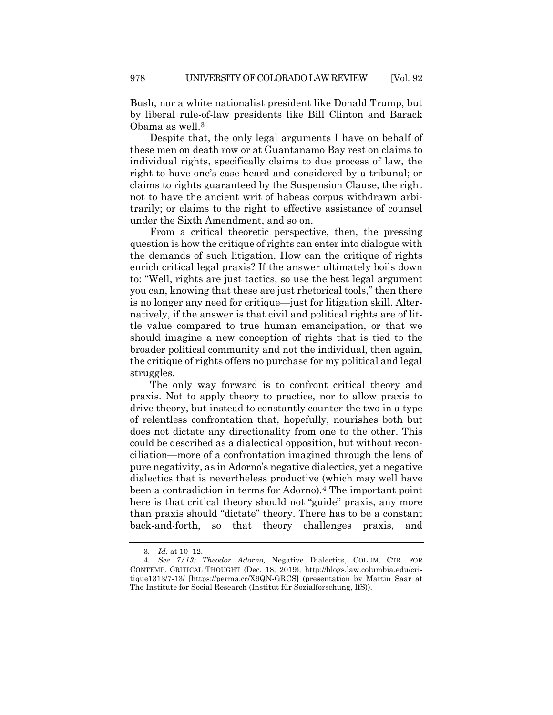Bush, nor a white nationalist president like Donald Trump, but by liberal rule-of-law presidents like Bill Clinton and Barack Obama as well.3

Despite that, the only legal arguments I have on behalf of these men on death row or at Guantanamo Bay rest on claims to individual rights, specifically claims to due process of law, the right to have one's case heard and considered by a tribunal; or claims to rights guaranteed by the Suspension Clause, the right not to have the ancient writ of habeas corpus withdrawn arbitrarily; or claims to the right to effective assistance of counsel under the Sixth Amendment, and so on.

From a critical theoretic perspective, then, the pressing question is how the critique of rights can enter into dialogue with the demands of such litigation. How can the critique of rights enrich critical legal praxis? If the answer ultimately boils down to: "Well, rights are just tactics, so use the best legal argument you can, knowing that these are just rhetorical tools," then there is no longer any need for critique—just for litigation skill. Alternatively, if the answer is that civil and political rights are of little value compared to true human emancipation, or that we should imagine a new conception of rights that is tied to the broader political community and not the individual, then again, the critique of rights offers no purchase for my political and legal struggles.

The only way forward is to confront critical theory and praxis. Not to apply theory to practice, nor to allow praxis to drive theory, but instead to constantly counter the two in a type of relentless confrontation that, hopefully, nourishes both but does not dictate any directionality from one to the other. This could be described as a dialectical opposition, but without reconciliation—more of a confrontation imagined through the lens of pure negativity, as in Adorno's negative dialectics, yet a negative dialectics that is nevertheless productive (which may well have been a contradiction in terms for Adorno).<sup>4</sup> The important point here is that critical theory should not "guide" praxis, any more than praxis should "dictate" theory. There has to be a constant back-and-forth, so that theory challenges praxis, and

<sup>3</sup>*. Id.* at 10–12.

<sup>4</sup>*. See 7/13: Theodor Adorno,* Negative Dialectics, COLUM. CTR. FOR CONTEMP. CRITICAL THOUGHT (Dec. 18, 2019), http://blogs.law.columbia.edu/critique1313/7-13/ [https://perma.cc/X9QN-GRCS] (presentation by Martin Saar at The Institute for Social Research (Institut für Sozialforschung, IfS)).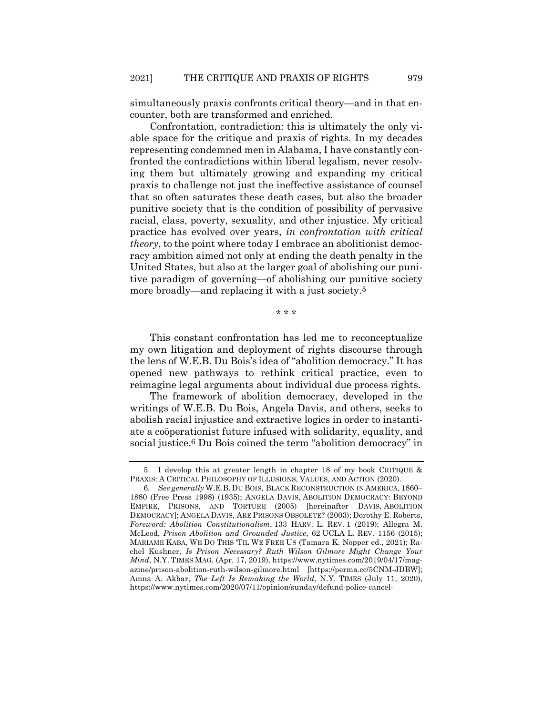simultaneously praxis confronts critical theory—and in that encounter, both are transformed and enriched.

Confrontation, contradiction: this is ultimately the only viable space for the critique and praxis of rights. In my decades representing condemned men in Alabama, I have constantly confronted the contradictions within liberal legalism, never resolving them but ultimately growing and expanding my critical praxis to challenge not just the ineffective assistance of counsel that so often saturates these death cases, but also the broader punitive society that is the condition of possibility of pervasive racial, class, poverty, sexuality, and other injustice. My critical practice has evolved over years, *in confrontation with critical theory*, to the point where today I embrace an abolitionist democracy ambition aimed not only at ending the death penalty in the United States, but also at the larger goal of abolishing our punitive paradigm of governing—of abolishing our punitive society more broadly—and replacing it with a just society.5

\* \* \*

This constant confrontation has led me to reconceptualize my own litigation and deployment of rights discourse through the lens of W.E.B. Du Bois's idea of "abolition democracy." It has opened new pathways to rethink critical practice, even to reimagine legal arguments about individual due process rights.

The framework of abolition democracy, developed in the writings of W.E.B. Du Bois, Angela Davis, and others, seeks to abolish racial injustice and extractive logics in order to instantiate a coöperationist future infused with solidarity, equality, and social justice.<sup>6</sup> Du Bois coined the term "abolition democracy" in

<sup>5.</sup> I develop this at greater length in chapter 18 of my book CRITIQUE & PRAXIS: A CRITICAL PHILOSOPHY OF ILLUSIONS, VALUES, AND ACTION (2020).

<sup>6</sup>*. See generally* W.E.B. DU BOIS, BLACK RECONSTRUCTION IN AMERICA, 1860– 1880 (Free Press 1998) (1935); ANGELA DAVIS, ABOLITION DEMOCRACY: BEYOND EMPIRE, PRISONS, AND TORTURE (2005) [hereinafter DAVIS, ABOLITION DEMOCRACY]; ANGELA DAVIS, ARE PRISONS OBSOLETE? (2003); Dorothy E. Roberts, *Foreword: Abolition Constitutionalism*, 133 HARV. L. REV. 1 (2019); Allegra M. McLeod, *Prison Abolition and Grounded Justice*, 62 UCLA L. REV. 1156 (2015); MARIAME KABA, WE DO THIS 'TIL WE FREE US (Tamara K. Nopper ed., 2021); Rachel Kushner, *Is Prison Necessary? Ruth Wilson Gilmore Might Change Your Mind*, N.Y. TIMES MAG. (Apr. 17, 2019), https://www.nytimes.com/2019/04/17/magazine/prison-abolition-ruth-wilson-gilmore.html [https://perma.cc/5CNM-JDBW]; Amna A. Akbar, *The Left Is Remaking the World*, N.Y. TIMES (July 11, 2020), https://www.nytimes.com/2020/07/11/opinion/sunday/defund-police-cancel-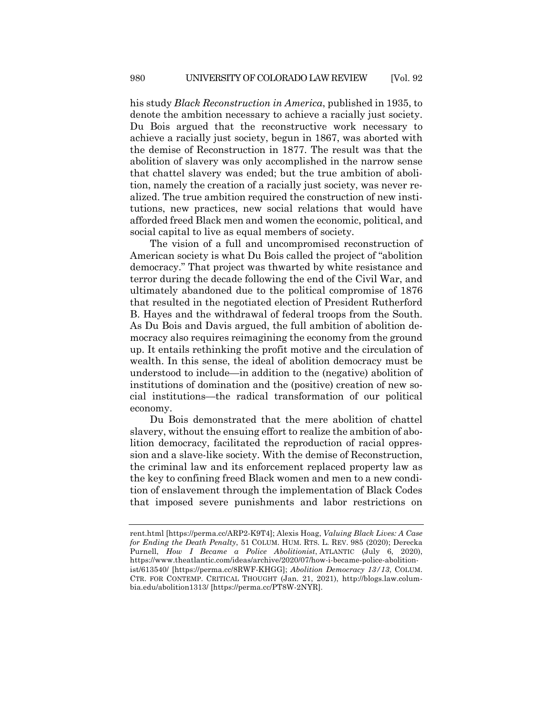his study *Black Reconstruction in America*, published in 1935, to denote the ambition necessary to achieve a racially just society. Du Bois argued that the reconstructive work necessary to achieve a racially just society, begun in 1867, was aborted with the demise of Reconstruction in 1877. The result was that the abolition of slavery was only accomplished in the narrow sense that chattel slavery was ended; but the true ambition of abolition, namely the creation of a racially just society, was never realized. The true ambition required the construction of new institutions, new practices, new social relations that would have afforded freed Black men and women the economic, political, and social capital to live as equal members of society.

The vision of a full and uncompromised reconstruction of American society is what Du Bois called the project of "abolition democracy." That project was thwarted by white resistance and terror during the decade following the end of the Civil War, and ultimately abandoned due to the political compromise of 1876 that resulted in the negotiated election of President Rutherford B. Hayes and the withdrawal of federal troops from the South. As Du Bois and Davis argued, the full ambition of abolition democracy also requires reimagining the economy from the ground up. It entails rethinking the profit motive and the circulation of wealth. In this sense, the ideal of abolition democracy must be understood to include—in addition to the (negative) abolition of institutions of domination and the (positive) creation of new social institutions—the radical transformation of our political economy.

Du Bois demonstrated that the mere abolition of chattel slavery, without the ensuing effort to realize the ambition of abolition democracy, facilitated the reproduction of racial oppression and a slave-like society. With the demise of Reconstruction, the criminal law and its enforcement replaced property law as the key to confining freed Black women and men to a new condition of enslavement through the implementation of Black Codes that imposed severe punishments and labor restrictions on

rent.html [https://perma.cc/ARP2-K9T4]; Alexis Hoag, *Valuing Black Lives: A Case for Ending the Death Penalty*, 51 COLUM. HUM. RTS. L. REV. 985 (2020); Derecka Purnell, *How I Became a Police Abolitionist*, ATLANTIC (July 6, 2020), https://www.theatlantic.com/ideas/archive/2020/07/how-i-became-police-abolitionist/613540/ [https://perma.cc/8RWF-KHGG]; *Abolition Democracy 13/13*, COLUM. CTR. FOR CONTEMP. CRITICAL THOUGHT (Jan. 21, 2021), http://blogs.law.columbia.edu/abolition1313/ [https://perma.cc/PT8W-2NYR].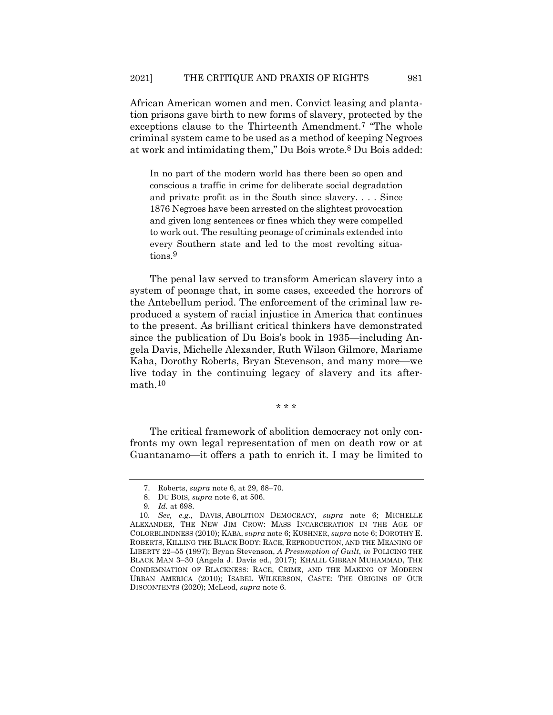African American women and men. Convict leasing and plantation prisons gave birth to new forms of slavery, protected by the exceptions clause to the Thirteenth Amendment.7 "The whole criminal system came to be used as a method of keeping Negroes at work and intimidating them," Du Bois wrote.8 Du Bois added:

In no part of the modern world has there been so open and conscious a traffic in crime for deliberate social degradation and private profit as in the South since slavery. . . . Since 1876 Negroes have been arrested on the slightest provocation and given long sentences or fines which they were compelled to work out. The resulting peonage of criminals extended into every Southern state and led to the most revolting situations.9

The penal law served to transform American slavery into a system of peonage that, in some cases, exceeded the horrors of the Antebellum period. The enforcement of the criminal law reproduced a system of racial injustice in America that continues to the present. As brilliant critical thinkers have demonstrated since the publication of Du Bois's book in 1935—including Angela Davis, Michelle Alexander, Ruth Wilson Gilmore, Mariame Kaba, Dorothy Roberts, Bryan Stevenson, and many more—we live today in the continuing legacy of slavery and its aftermath.10

\* \* \*

The critical framework of abolition democracy not only confronts my own legal representation of men on death row or at Guantanamo—it offers a path to enrich it. I may be limited to

<sup>7.</sup> Roberts, *supra* note 6, at 29, 68–70.

<sup>8.</sup> DU BOIS, *supra* note 6, at 506.

<sup>9</sup>*. Id.* at 698.

<sup>10</sup>*. See, e.g.*, DAVIS, ABOLITION DEMOCRACY, *supra* note 6; MICHELLE ALEXANDER, THE NEW JIM CROW: MASS INCARCERATION IN THE AGE OF COLORBLINDNESS (2010); KABA, *supra* note 6; KUSHNER, *supra* note 6; DOROTHY E. ROBERTS, KILLING THE BLACK BODY: RACE, REPRODUCTION, AND THE MEANING OF LIBERTY 22–55 (1997); Bryan Stevenson, *A Presumption of Guilt*, *in* POLICING THE BLACK MAN 3–30 (Angela J. Davis ed., 2017); KHALIL GIBRAN MUHAMMAD, THE CONDEMNATION OF BLACKNESS: RACE, CRIME, AND THE MAKING OF MODERN URBAN AMERICA (2010); ISABEL WILKERSON, CASTE: THE ORIGINS OF OUR DISCONTENTS (2020); McLeod, *supra* note 6*.*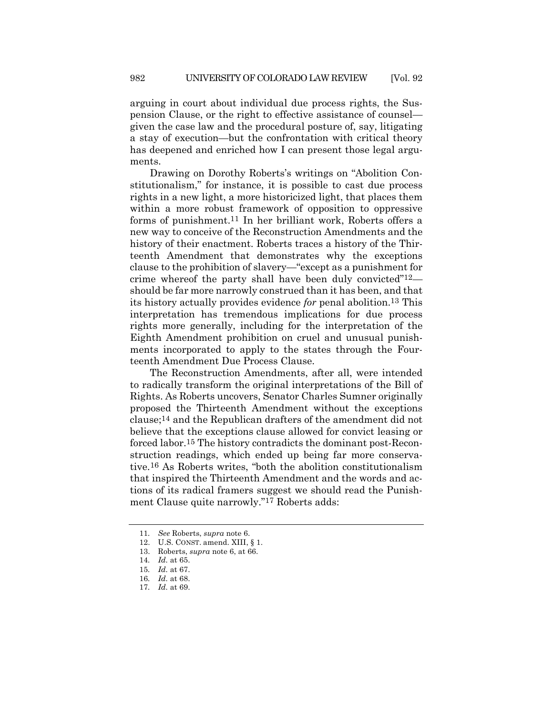arguing in court about individual due process rights, the Suspension Clause, or the right to effective assistance of counsel given the case law and the procedural posture of, say, litigating a stay of execution—but the confrontation with critical theory has deepened and enriched how I can present those legal arguments.

Drawing on Dorothy Roberts's writings on "Abolition Constitutionalism," for instance, it is possible to cast due process rights in a new light, a more historicized light, that places them within a more robust framework of opposition to oppressive forms of punishment.11 In her brilliant work, Roberts offers a new way to conceive of the Reconstruction Amendments and the history of their enactment. Roberts traces a history of the Thirteenth Amendment that demonstrates why the exceptions clause to the prohibition of slavery—"except as a punishment for crime whereof the party shall have been duly convicted"12 should be far more narrowly construed than it has been, and that its history actually provides evidence *for* penal abolition.13 This interpretation has tremendous implications for due process rights more generally, including for the interpretation of the Eighth Amendment prohibition on cruel and unusual punishments incorporated to apply to the states through the Fourteenth Amendment Due Process Clause.

The Reconstruction Amendments, after all, were intended to radically transform the original interpretations of the Bill of Rights. As Roberts uncovers, Senator Charles Sumner originally proposed the Thirteenth Amendment without the exceptions clause;14 and the Republican drafters of the amendment did not believe that the exceptions clause allowed for convict leasing or forced labor.15 The history contradicts the dominant post-Reconstruction readings, which ended up being far more conservative.16 As Roberts writes, "both the abolition constitutionalism that inspired the Thirteenth Amendment and the words and actions of its radical framers suggest we should read the Punishment Clause quite narrowly."17 Roberts adds:

<sup>11</sup>*. See* Roberts, *supra* note 6.

<sup>12.</sup> U.S. CONST. amend. XIII, § 1.

<sup>13.</sup> Roberts, *supra* note 6, at 66.

<sup>14</sup>*. Id.* at 65.

<sup>15</sup>*. Id.* at 67.

<sup>16</sup>*. Id.* at 68.

<sup>17</sup>*. Id.* at 69.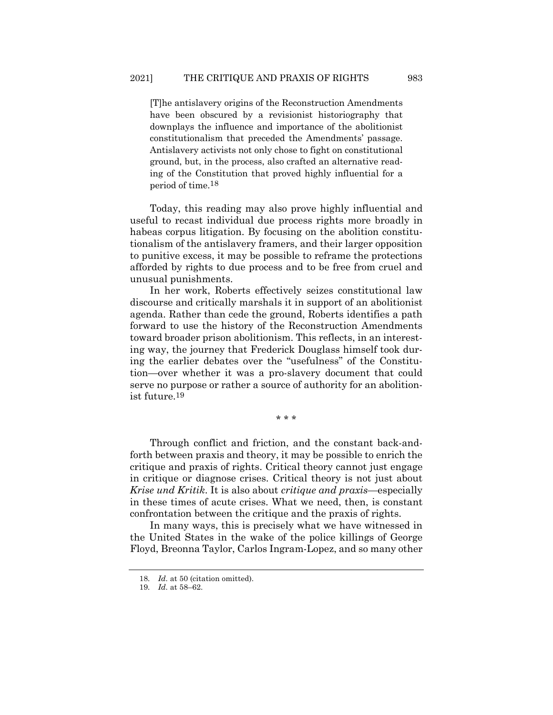[T]he antislavery origins of the Reconstruction Amendments have been obscured by a revisionist historiography that downplays the influence and importance of the abolitionist constitutionalism that preceded the Amendments' passage. Antislavery activists not only chose to fight on constitutional ground, but, in the process, also crafted an alternative reading of the Constitution that proved highly influential for a period of time.18

Today, this reading may also prove highly influential and useful to recast individual due process rights more broadly in habeas corpus litigation. By focusing on the abolition constitutionalism of the antislavery framers, and their larger opposition to punitive excess, it may be possible to reframe the protections afforded by rights to due process and to be free from cruel and unusual punishments.

In her work, Roberts effectively seizes constitutional law discourse and critically marshals it in support of an abolitionist agenda. Rather than cede the ground, Roberts identifies a path forward to use the history of the Reconstruction Amendments toward broader prison abolitionism. This reflects, in an interesting way, the journey that Frederick Douglass himself took during the earlier debates over the "usefulness" of the Constitution—over whether it was a pro-slavery document that could serve no purpose or rather a source of authority for an abolitionist future.19

\* \* \*

Through conflict and friction, and the constant back-andforth between praxis and theory, it may be possible to enrich the critique and praxis of rights. Critical theory cannot just engage in critique or diagnose crises. Critical theory is not just about *Krise und Kritik*. It is also about *critique and praxis*—especially in these times of acute crises. What we need, then, is constant confrontation between the critique and the praxis of rights.

In many ways, this is precisely what we have witnessed in the United States in the wake of the police killings of George Floyd, Breonna Taylor, Carlos Ingram-Lopez, and so many other

<sup>18</sup>*. Id.* at 50 (citation omitted).

<sup>19</sup>*. Id.* at 58–62.